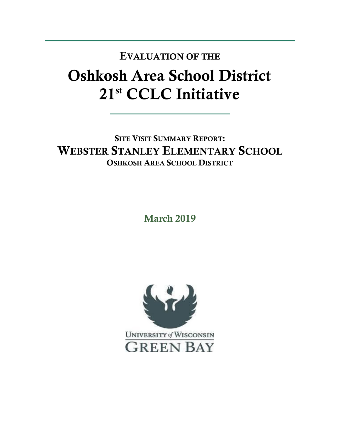## Oshkosh Area School District 21st CCLC Initiative EVALUATION OF THE

SITE VISIT SUMMARY REPORT: WEBSTER STANLEY ELEMENTARY SCHOOL OSHKOSH AREA SCHOOL DISTRICT

March 2019

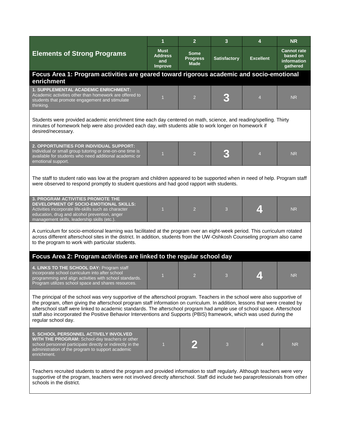|                                                                                                                                                                                                                                                                                                                                                                                                                                                                                                                                      | 1                                        | $\overline{2}$                                | 3                   | 4                | <b>NR</b>                                                        |  |  |  |
|--------------------------------------------------------------------------------------------------------------------------------------------------------------------------------------------------------------------------------------------------------------------------------------------------------------------------------------------------------------------------------------------------------------------------------------------------------------------------------------------------------------------------------------|------------------------------------------|-----------------------------------------------|---------------------|------------------|------------------------------------------------------------------|--|--|--|
| <b>Elements of Strong Programs</b>                                                                                                                                                                                                                                                                                                                                                                                                                                                                                                   | <b>Must</b><br>Address<br>and<br>Improve | <b>Some</b><br><b>Progress</b><br><b>Made</b> | <b>Satisfactory</b> | <b>Excellent</b> | <b>Cannot rate</b><br>based on<br><i>information</i><br>gathered |  |  |  |
| Focus Area 1: Program activities are geared toward rigorous academic and socio-emotional<br>enrichment                                                                                                                                                                                                                                                                                                                                                                                                                               |                                          |                                               |                     |                  |                                                                  |  |  |  |
| <b>1. SUPPLEMENTAL ACADEMIC ENRICHMENT:</b><br>Academic activities other than homework are offered to<br>students that promote engagement and stimulate<br>thinking.                                                                                                                                                                                                                                                                                                                                                                 | $\mathbf{1}$                             | $\overline{2}$                                |                     | 4                | <b>NR</b>                                                        |  |  |  |
| Students were provided academic enrichment time each day centered on math, science, and reading/spelling. Thirty<br>minutes of homework help were also provided each day, with students able to work longer on homework if<br>desired/necessary.                                                                                                                                                                                                                                                                                     |                                          |                                               |                     |                  |                                                                  |  |  |  |
| 2. OPPORTUNITIES FOR INDIVIDUAL SUPPORT:<br>Individual or small group tutoring or one-on-one time is<br>available for students who need additional academic or<br>emotional support.                                                                                                                                                                                                                                                                                                                                                 | $\overline{1}$                           | $\overline{2}$                                |                     | $\overline{4}$   | <b>NR</b>                                                        |  |  |  |
| The staff to student ratio was low at the program and children appeared to be supported when in need of help. Program staff<br>were observed to respond promptly to student questions and had good rapport with students.                                                                                                                                                                                                                                                                                                            |                                          |                                               |                     |                  |                                                                  |  |  |  |
| <b>3. PROGRAM ACTIVITIES PROMOTE THE</b><br>DEVELOPMENT OF SOCIO-EMOTIONAL SKILLS:<br>Activities incorporate life-skills such as character<br>education, drug and alcohol prevention, anger<br>management skills, leadership skills (etc.)                                                                                                                                                                                                                                                                                           | $\mathbf{1}$                             | $\overline{2}$                                | 3                   |                  | <b>NR</b>                                                        |  |  |  |
| A curriculum for socio-emotional learning was facilitated at the program over an eight-week period. This curriculum rotated<br>across different afterschool sites in the district. In addition, students from the UW-Oshkosh Counseling program also came<br>to the program to work with particular students.                                                                                                                                                                                                                        |                                          |                                               |                     |                  |                                                                  |  |  |  |
| Focus Area 2: Program activities are linked to the regular school day                                                                                                                                                                                                                                                                                                                                                                                                                                                                |                                          |                                               |                     |                  |                                                                  |  |  |  |
| 4. LINKS TO THE SCHOOL DAY: Program staff<br>incorporate school curriculum into after school<br>programming and align activities with school standards.<br>Program utilizes school space and shares resources.                                                                                                                                                                                                                                                                                                                       | $\overline{1}$                           | $\overline{2}$                                | 3                   |                  | <b>NR</b>                                                        |  |  |  |
| The principal of the school was very supportive of the afterschool program. Teachers in the school were also supportive of<br>the program, often giving the afterschool program staff information on curriculum. In addition, lessons that were created by<br>afterschool staff were linked to academic standards. The afterschool program had ample use of school space. Afterschool<br>staff also incorporated the Positive Behavior Interventions and Supports (PBIS) framework, which was used during the<br>regular school day. |                                          |                                               |                     |                  |                                                                  |  |  |  |
| 5. SCHOOL PERSONNEL ACTIVELY INVOLVED<br>WITH THE PROGRAM: School-day teachers or other<br>school personnel participate directly or indirectly in the<br>administration of the program to support academic<br>enrichment.                                                                                                                                                                                                                                                                                                            | $\overline{1}$                           |                                               | 3                   | $\overline{4}$   | <b>NR</b>                                                        |  |  |  |
| Teachers recruited students to attend the program and provided information to staff regularly. Although teachers were very<br>supportive of the program, teachers were not involved directly afterschool. Staff did include two paraprofessionals from other<br>schools in the district.                                                                                                                                                                                                                                             |                                          |                                               |                     |                  |                                                                  |  |  |  |

ı